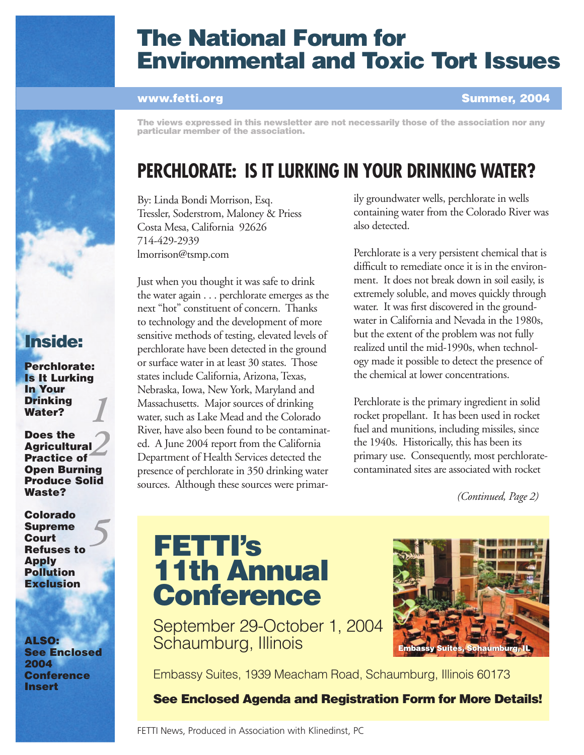

## The National Forum for Environmental and Toxic Tort Issues

### www.fetti.org

Summer, 2004

The views expressed in this newsletter are not necessarily those of the association nor any particular member of the association.

## **PERCHLORATE: IS IT LURKING IN YOUR DRINKING WATER?**

By: Linda Bondi Morrison, Esq. Tressler, Soderstrom, Maloney & Priess Costa Mesa, California 92626 714-429-2939 lmorrison@tsmp.com

Just when you thought it was safe to drink the water again . . . perchlorate emerges as the next "hot" constituent of concern. Thanks to technology and the development of more sensitive methods of testing, elevated levels of perchlorate have been detected in the ground or surface water in at least 30 states. Those states include California, Arizona, Texas, Nebraska, Iowa, New York, Maryland and Massachusetts. Major sources of drinking water, such as Lake Mead and the Colorado River, have also been found to be contaminated. A June 2004 report from the California Department of Health Services detected the presence of perchlorate in 350 drinking water sources. Although these sources were primarily groundwater wells, perchlorate in wells containing water from the Colorado River was also detected.

Perchlorate is a very persistent chemical that is difficult to remediate once it is in the environment. It does not break down in soil easily, is extremely soluble, and moves quickly through water. It was first discovered in the groundwater in California and Nevada in the 1980s, but the extent of the problem was not fully realized until the mid-1990s, when technology made it possible to detect the presence of the chemical at lower concentrations.

Perchlorate is the primary ingredient in solid rocket propellant. It has been used in rocket fuel and munitions, including missiles, since the 1940s. Historically, this has been its primary use. Consequently, most perchloratecontaminated sites are associated with rocket

*(Continued, Page 2)*

# FETTI's 11th Annual **Conference**



September 29-October 1, 2004 Schaumburg, Illinois

Embassy Suites, 1939 Meacham Road, Schaumburg, Illinois 60173

See Enclosed Agenda and Registration Form for More Details!

FETTI News, Produced in Association with Klinedinst, PC

Inside:

*1* Perchlorate: Is It Lurking In Your Drinking Water?

*2* Does the **Agricultural** Practice of Open Burning Produce Solid Waste?

*5* Colorado Supreme Court Refuses to Apply **Pollution Exclusion** 

ALSO: See Enclosed 2004 **Conference** Insert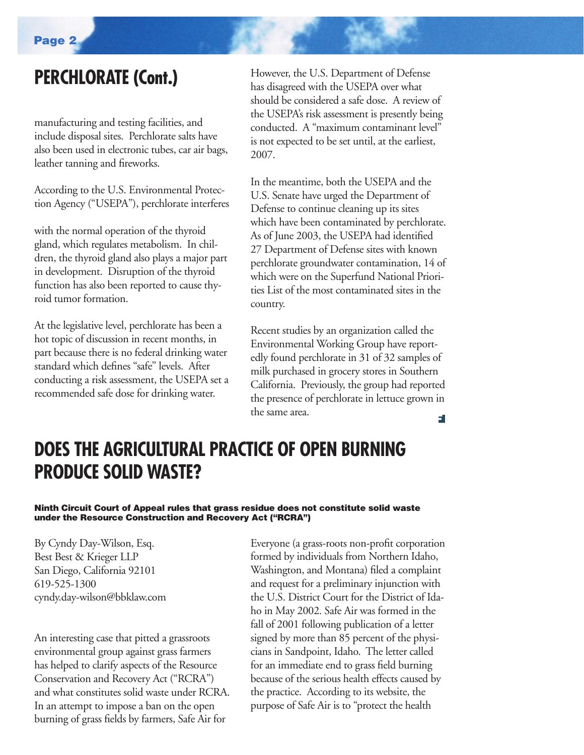## **PERCHLORATE (Cont.)**

manufacturing and testing facilities, and include disposal sites. Perchlorate salts have also been used in electronic tubes, car air bags, leather tanning and fireworks.

According to the U.S. Environmental Protection Agency ("USEPA"), perchlorate interferes

with the normal operation of the thyroid gland, which regulates metabolism. In children, the thyroid gland also plays a major part in development. Disruption of the thyroid function has also been reported to cause thyroid tumor formation.

At the legislative level, perchlorate has been a hot topic of discussion in recent months, in part because there is no federal drinking water standard which defines "safe" levels. After conducting a risk assessment, the USEPA set a recommended safe dose for drinking water.

However, the U.S. Department of Defense has disagreed with the USEPA over what should be considered a safe dose. A review of the USEPA's risk assessment is presently being conducted. A "maximum contaminant level" is not expected to be set until, at the earliest, 2007.

In the meantime, both the USEPA and the U.S. Senate have urged the Department of Defense to continue cleaning up its sites which have been contaminated by perchlorate. As of June 2003, the USEPA had identified 27 Department of Defense sites with known perchlorate groundwater contamination, 14 of which were on the Superfund National Priorities List of the most contaminated sites in the country.

Recent studies by an organization called the Environmental Working Group have reportedly found perchlorate in 31 of 32 samples of milk purchased in grocery stores in Southern California. Previously, the group had reported the presence of perchlorate in lettuce grown in the same area. F

## **DOES THE AGRICULTURAL PRACTICE OF OPEN BURNING PRODUCE SOLID WASTE?**

#### Ninth Circuit Court of Appeal rules that grass residue does not constitute solid waste under the Resource Construction and Recovery Act ("RCRA")

By Cyndy Day-Wilson, Esq. Best Best & Krieger LLP San Diego, California 92101 619-525-1300 cyndy.day-wilson@bbklaw.com

An interesting case that pitted a grassroots environmental group against grass farmers has helped to clarify aspects of the Resource Conservation and Recovery Act ("RCRA") and what constitutes solid waste under RCRA. In an attempt to impose a ban on the open burning of grass fields by farmers, Safe Air for

Everyone (a grass-roots non-profit corporation formed by individuals from Northern Idaho, Washington, and Montana) filed a complaint and request for a preliminary injunction with the U.S. District Court for the District of Idaho in May 2002. Safe Air was formed in the fall of 2001 following publication of a letter signed by more than 85 percent of the physicians in Sandpoint, Idaho. The letter called for an immediate end to grass field burning because of the serious health effects caused by the practice. According to its website, the purpose of Safe Air is to "protect the health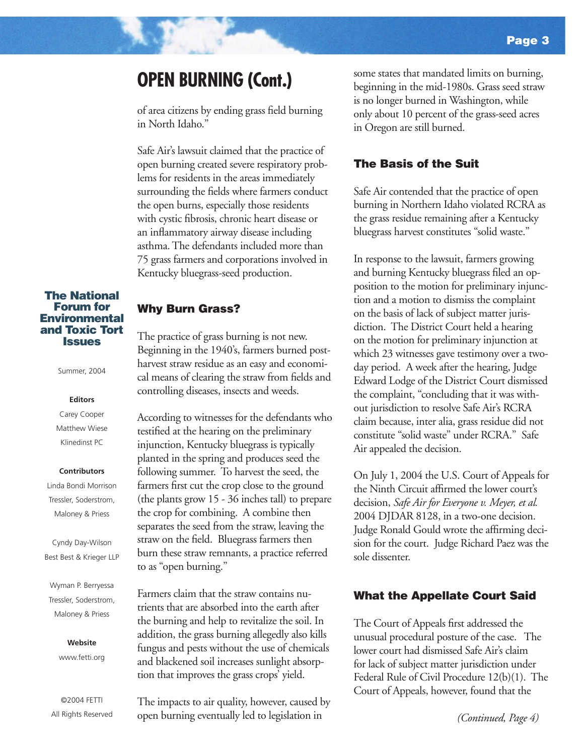### **OPEN BURNING (Cont.)**

of area citizens by ending grass field burning in North Idaho."

Safe Air's lawsuit claimed that the practice of open burning created severe respiratory problems for residents in the areas immediately surrounding the fields where farmers conduct the open burns, especially those residents with cystic fibrosis, chronic heart disease or an inflammatory airway disease including asthma. The defendants included more than 75 grass farmers and corporations involved in Kentucky bluegrass-seed production.

#### The National Forum for **Environmental** and Toxic Tort **Issues**

Summer, 2004

#### **Editors**

Carey Cooper Matthew Wiese Klinedinst PC

#### **Contributors**

Linda Bondi Morrison Tressler, Soderstrom, Maloney & Priess

Cyndy Day-Wilson Best Best & Krieger LLP

Wyman P. Berryessa Tressler, Soderstrom, Maloney & Priess

#### **Website**

www.fetti.org

©2004 FETTI All Rights Reserved

### Why Burn Grass?

The practice of grass burning is not new. Beginning in the 1940's, farmers burned postharvest straw residue as an easy and economical means of clearing the straw from fields and controlling diseases, insects and weeds.

According to witnesses for the defendants who testified at the hearing on the preliminary injunction, Kentucky bluegrass is typically planted in the spring and produces seed the following summer. To harvest the seed, the farmers first cut the crop close to the ground (the plants grow 15 - 36 inches tall) to prepare the crop for combining. A combine then separates the seed from the straw, leaving the straw on the field. Bluegrass farmers then burn these straw remnants, a practice referred to as "open burning."

Farmers claim that the straw contains nutrients that are absorbed into the earth after the burning and help to revitalize the soil. In addition, the grass burning allegedly also kills fungus and pests without the use of chemicals and blackened soil increases sunlight absorption that improves the grass crops' yield.

The impacts to air quality, however, caused by open burning eventually led to legislation in

some states that mandated limits on burning, beginning in the mid-1980s. Grass seed straw is no longer burned in Washington, while only about 10 percent of the grass-seed acres in Oregon are still burned.

### The Basis of the Suit

Safe Air contended that the practice of open burning in Northern Idaho violated RCRA as the grass residue remaining after a Kentucky bluegrass harvest constitutes "solid waste."

In response to the lawsuit, farmers growing and burning Kentucky bluegrass filed an opposition to the motion for preliminary injunction and a motion to dismiss the complaint on the basis of lack of subject matter jurisdiction. The District Court held a hearing on the motion for preliminary injunction at which 23 witnesses gave testimony over a twoday period. A week after the hearing, Judge Edward Lodge of the District Court dismissed the complaint, "concluding that it was without jurisdiction to resolve Safe Air's RCRA claim because, inter alia, grass residue did not constitute "solid waste" under RCRA." Safe Air appealed the decision.

On July 1, 2004 the U.S. Court of Appeals for the Ninth Circuit affirmed the lower court's decision, *Safe Air for Everyone v. Meyer, et al.*  2004 DJDAR 8128, in a two-one decision. Judge Ronald Gould wrote the affirming decision for the court. Judge Richard Paez was the sole dissenter.

### What the Appellate Court Said

The Court of Appeals first addressed the unusual procedural posture of the case. The lower court had dismissed Safe Air's claim for lack of subject matter jurisdiction under Federal Rule of Civil Procedure 12(b)(1). The Court of Appeals, however, found that the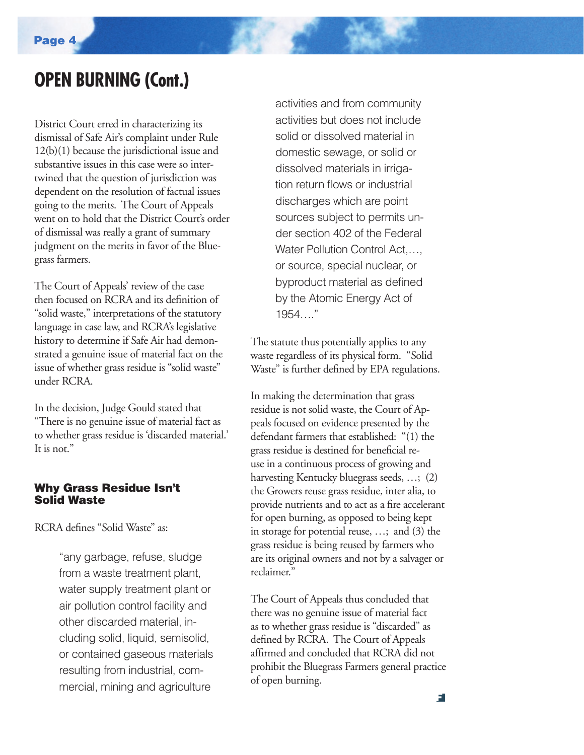### **OPEN BURNING (Cont.)**

District Court erred in characterizing its dismissal of Safe Air's complaint under Rule 12(b)(1) because the jurisdictional issue and substantive issues in this case were so intertwined that the question of jurisdiction was dependent on the resolution of factual issues going to the merits. The Court of Appeals went on to hold that the District Court's order of dismissal was really a grant of summary judgment on the merits in favor of the Bluegrass farmers.

The Court of Appeals' review of the case then focused on RCRA and its definition of "solid waste," interpretations of the statutory language in case law, and RCRA's legislative history to determine if Safe Air had demonstrated a genuine issue of material fact on the issue of whether grass residue is "solid waste" under RCRA.

In the decision, Judge Gould stated that "There is no genuine issue of material fact as to whether grass residue is 'discarded material.' It is not."

### Why Grass Residue Isn't Solid Waste

RCRA defines "Solid Waste" as:

"any garbage, refuse, sludge from a waste treatment plant, water supply treatment plant or air pollution control facility and other discarded material, including solid, liquid, semisolid, or contained gaseous materials resulting from industrial, commercial, mining and agriculture

activities and from community activities but does not include solid or dissolved material in domestic sewage, or solid or dissolved materials in irrigation return flows or industrial discharges which are point sources subject to permits under section 402 of the Federal Water Pollution Control Act,... or source, special nuclear, or byproduct material as defined by the Atomic Energy Act of 1954 "

The statute thus potentially applies to any waste regardless of its physical form. "Solid Waste" is further defined by EPA regulations.

In making the determination that grass residue is not solid waste, the Court of Appeals focused on evidence presented by the defendant farmers that established: "(1) the grass residue is destined for beneficial reuse in a continuous process of growing and harvesting Kentucky bluegrass seeds, …; (2) the Growers reuse grass residue, inter alia, to provide nutrients and to act as a fire accelerant for open burning, as opposed to being kept in storage for potential reuse, …; and (3) the grass residue is being reused by farmers who are its original owners and not by a salvager or reclaimer."

The Court of Appeals thus concluded that there was no genuine issue of material fact as to whether grass residue is "discarded" as defined by RCRA. The Court of Appeals affirmed and concluded that RCRA did not prohibit the Bluegrass Farmers general practice of open burning.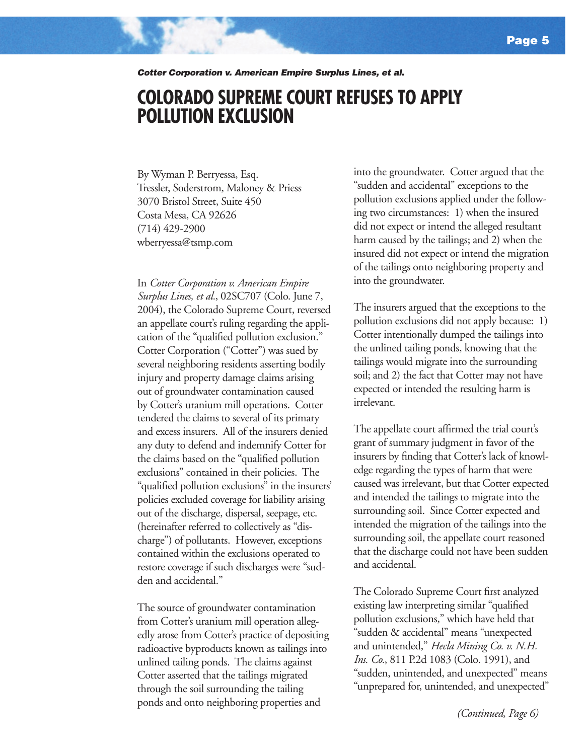Cotter Corporation v. American Empire Surplus Lines, et al.

### **COLORADO SUPREME COURT REFUSES TO APPLY POLLUTION EXCLUSION**

By Wyman P. Berryessa, Esq. Tressler, Soderstrom, Maloney & Priess 3070 Bristol Street, Suite 450 Costa Mesa, CA 92626 (714) 429-2900 wberryessa@tsmp.com

In *Cotter Corporation v. American Empire Surplus Lines, et al.*, 02SC707 (Colo. June 7, 2004), the Colorado Supreme Court, reversed an appellate court's ruling regarding the application of the "qualified pollution exclusion." Cotter Corporation ("Cotter") was sued by several neighboring residents asserting bodily injury and property damage claims arising out of groundwater contamination caused by Cotter's uranium mill operations. Cotter tendered the claims to several of its primary and excess insurers. All of the insurers denied any duty to defend and indemnify Cotter for the claims based on the "qualified pollution exclusions" contained in their policies. The "qualified pollution exclusions" in the insurers' policies excluded coverage for liability arising out of the discharge, dispersal, seepage, etc. (hereinafter referred to collectively as "discharge") of pollutants. However, exceptions contained within the exclusions operated to restore coverage if such discharges were "sudden and accidental."

The source of groundwater contamination from Cotter's uranium mill operation allegedly arose from Cotter's practice of depositing radioactive byproducts known as tailings into unlined tailing ponds. The claims against Cotter asserted that the tailings migrated through the soil surrounding the tailing ponds and onto neighboring properties and

into the groundwater. Cotter argued that the "sudden and accidental" exceptions to the pollution exclusions applied under the following two circumstances: 1) when the insured did not expect or intend the alleged resultant harm caused by the tailings; and 2) when the insured did not expect or intend the migration of the tailings onto neighboring property and into the groundwater.

The insurers argued that the exceptions to the pollution exclusions did not apply because: 1) Cotter intentionally dumped the tailings into the unlined tailing ponds, knowing that the tailings would migrate into the surrounding soil; and 2) the fact that Cotter may not have expected or intended the resulting harm is irrelevant.

The appellate court affirmed the trial court's grant of summary judgment in favor of the insurers by finding that Cotter's lack of knowledge regarding the types of harm that were caused was irrelevant, but that Cotter expected and intended the tailings to migrate into the surrounding soil. Since Cotter expected and intended the migration of the tailings into the surrounding soil, the appellate court reasoned that the discharge could not have been sudden and accidental.

The Colorado Supreme Court first analyzed existing law interpreting similar "qualified pollution exclusions," which have held that "sudden & accidental" means "unexpected and unintended," *Hecla Mining Co. v. N.H. Ins. Co.*, 811 P.2d 1083 (Colo. 1991), and "sudden, unintended, and unexpected" means "unprepared for, unintended, and unexpected"